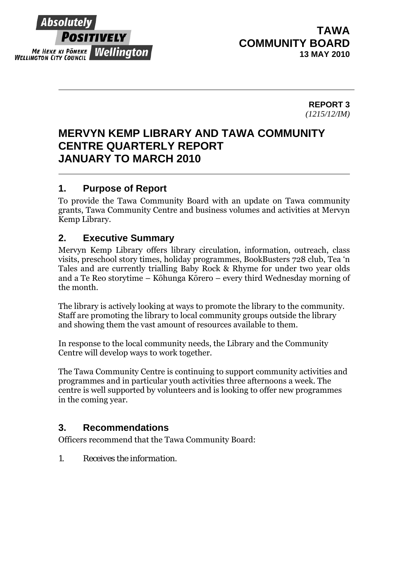

**REPORT 3**  *(1215/12/IM)* 

# **MERVYN KEMP LIBRARY AND TAWA COMMUNITY CENTRE QUARTERLY REPORT JANUARY TO MARCH 2010**

## **1. Purpose of Report**

To provide the Tawa Community Board with an update on Tawa community grants, Tawa Community Centre and business volumes and activities at Mervyn Kemp Library.

### **2. Executive Summary**

Mervyn Kemp Library offers library circulation, information, outreach, class visits, preschool story times, holiday programmes, BookBusters 728 club, Tea 'n Tales and are currently trialling Baby Rock & Rhyme for under two year olds and a Te Reo storytime – Kōhunga Kōrero – every third Wednesday morning of the month.

The library is actively looking at ways to promote the library to the community. Staff are promoting the library to local community groups outside the library and showing them the vast amount of resources available to them.

In response to the local community needs, the Library and the Community Centre will develop ways to work together.

The Tawa Community Centre is continuing to support community activities and programmes and in particular youth activities three afternoons a week. The centre is well supported by volunteers and is looking to offer new programmes in the coming year.

### **3. Recommendations**

Officers recommend that the Tawa Community Board:

*1. Receives the information.*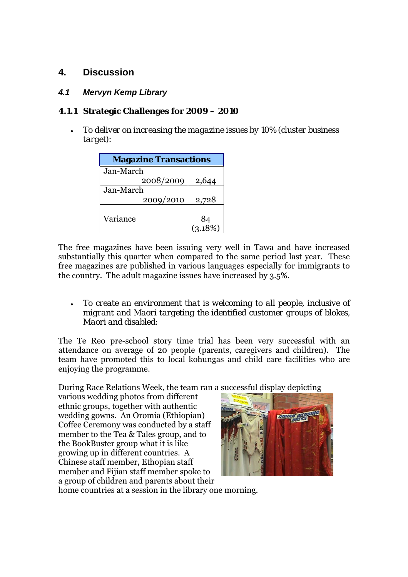### **4. Discussion**

#### *4.1 Mervyn Kemp Library*

#### **4.1.1 Strategic Challenges for 2009 – 2010**

• *To deliver on increasing the magazine issues by 10% (cluster business target)*:

| <b>Magazine Transactions</b> |                 |  |  |  |
|------------------------------|-----------------|--|--|--|
| Jan-March                    |                 |  |  |  |
| 2008/2009                    | 2,644           |  |  |  |
| Jan-March                    |                 |  |  |  |
| 2009/2010                    | 2,728           |  |  |  |
|                              |                 |  |  |  |
| Variance                     |                 |  |  |  |
|                              | $84$<br>(3.18%) |  |  |  |

The free magazines have been issuing very well in Tawa and have increased substantially this quarter when compared to the same period last year. These free magazines are published in various languages especially for immigrants to the country. The adult magazine issues have increased by 3.5%.

• *To create an environment that is welcoming to all people, inclusive of migrant and Maori targeting the identified customer groups of blokes, Maori and disabled:* 

The Te Reo pre-school story time trial has been very successful with an attendance on average of 20 people (parents, caregivers and children). The team have promoted this to local kohungas and child care facilities who are enjoying the programme.

During Race Relations Week, the team ran a successful display depicting

various wedding photos from different ethnic groups, together with authentic wedding gowns. An Oromia (Ethiopian) Coffee Ceremony was conducted by a staff member to the Tea & Tales group, and to the BookBuster group what it is like growing up in different countries. A Chinese staff member, Ethopian staff member and Fijian staff member spoke to a group of children and parents about their



home countries at a session in the library one morning.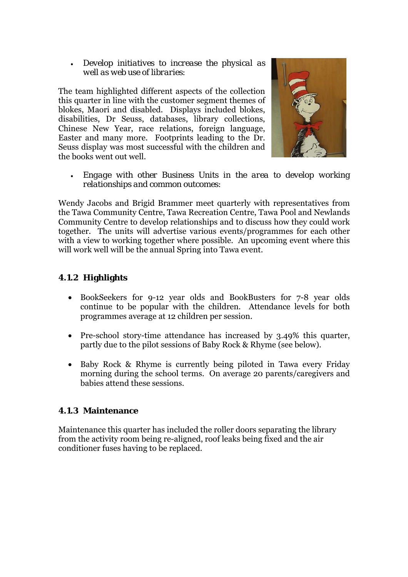• *Develop initiatives to increase the physical as well as web use of libraries:* 

The team highlighted different aspects of the collection this quarter in line with the customer segment themes of blokes, Maori and disabled. Displays included blokes, disabilities, Dr Seuss, databases, library collections, Chinese New Year, race relations, foreign language, Easter and many more. Footprints leading to the Dr. Seuss display was most successful with the children and the books went out well.



• *Engage with other Business Units in the area to develop working relationships and common outcomes:* 

Wendy Jacobs and Brigid Brammer meet quarterly with representatives from the Tawa Community Centre, Tawa Recreation Centre, Tawa Pool and Newlands Community Centre to develop relationships and to discuss how they could work together. The units will advertise various events/programmes for each other with a view to working together where possible. An upcoming event where this will work well will be the annual Spring into Tawa event.

#### **4.1.2 Highlights**

- BookSeekers for 9-12 year olds and BookBusters for 7-8 year olds continue to be popular with the children. Attendance levels for both programmes average at 12 children per session.
- Pre-school story-time attendance has increased by 3.49% this quarter, partly due to the pilot sessions of Baby Rock & Rhyme (see below).
- Baby Rock & Rhyme is currently being piloted in Tawa every Friday morning during the school terms. On average 20 parents/caregivers and babies attend these sessions.

#### **4.1.3 Maintenance**

Maintenance this quarter has included the roller doors separating the library from the activity room being re-aligned, roof leaks being fixed and the air conditioner fuses having to be replaced.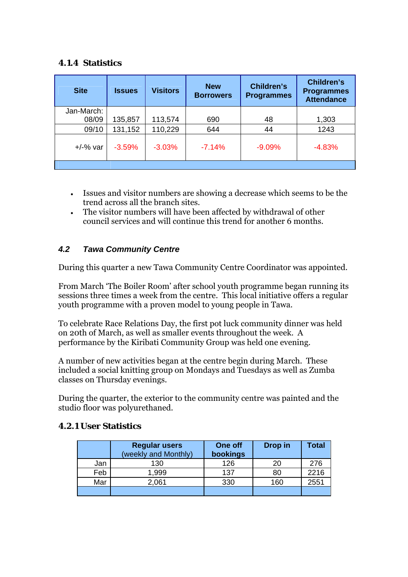#### **4.1.4 Statistics**

| <b>Site</b>         | <b>Issues</b> | <b>Visitors</b> | <b>New</b><br><b>Borrowers</b> | <b>Children's</b><br><b>Programmes</b> | <b>Children's</b><br><b>Programmes</b><br><b>Attendance</b> |
|---------------------|---------------|-----------------|--------------------------------|----------------------------------------|-------------------------------------------------------------|
| Jan-March:<br>08/09 | 135,857       | 113,574         | 690                            | 48                                     | 1,303                                                       |
| 09/10               | 131,152       | 110,229         | 644                            | 44                                     | 1243                                                        |
| $+/-%$ var          | $-3.59%$      | $-3.03%$        | $-7.14%$                       | $-9.09\%$                              | $-4.83%$                                                    |
|                     |               |                 |                                |                                        |                                                             |

- Issues and visitor numbers are showing a decrease which seems to be the trend across all the branch sites.
- The visitor numbers will have been affected by withdrawal of other council services and will continue this trend for another 6 months.

#### *4.2 Tawa Community Centre*

During this quarter a new Tawa Community Centre Coordinator was appointed.

From March 'The Boiler Room' after school youth programme began running its sessions three times a week from the centre. This local initiative offers a regular youth programme with a proven model to young people in Tawa.

To celebrate Race Relations Day, the first pot luck community dinner was held on 20th of March, as well as smaller events throughout the week. A performance by the Kiribati Community Group was held one evening.

A number of new activities began at the centre begin during March. These included a social knitting group on Mondays and Tuesdays as well as Zumba classes on Thursday evenings.

During the quarter, the exterior to the community centre was painted and the studio floor was polyurethaned.

|     | <b>Regular users</b><br>(weekly and Monthly) | One off<br>bookings | Drop in | Total |
|-----|----------------------------------------------|---------------------|---------|-------|
| Jan | 130                                          | 126                 | 20      | 276   |
| Feb | 1,999                                        | 137                 | 80      | 2216  |
| Mar | 2,061                                        | 330                 | 160     | 2551  |
|     |                                              |                     |         |       |

#### **4.2.1 User Statistics**